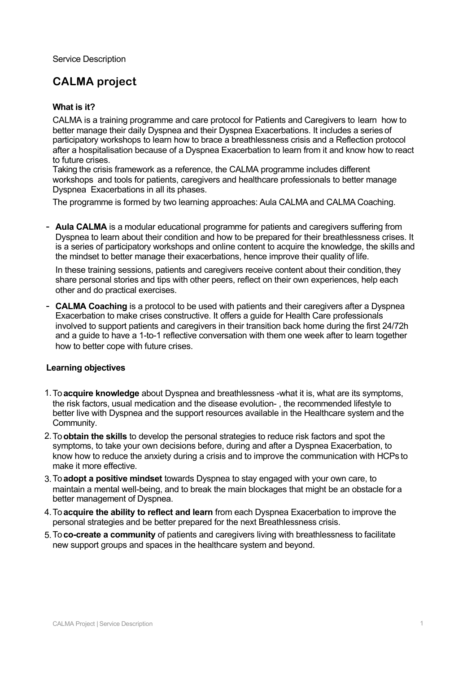Service Description

# **CALMA project**

# **What is it?**

CALMA is a training programme and care protocol for Patients and Caregivers to learn how to better manage their daily Dyspnea and their Dyspnea Exacerbations. It includes a series of participatory workshops to learn how to brace a breathlessness crisis and a Reflection protocol after a hospitalisation because of a Dyspnea Exacerbation to learn from it and know how to react to future crises.

Taking the crisis framework as a reference, the CALMA programme includes different workshops and tools for patients, caregivers and healthcare professionals to better manage Dyspnea Exacerbations in all its phases.

The programme is formed by two learning approaches: Aula CALMA and CALMA Coaching.

- **Aula CALMA** is a modular educational programme for patients and caregivers suffering from Dyspnea to learn about their condition and how to be prepared for their breathlessness crises. It is a series of participatory workshops and online content to acquire the knowledge, the skills and the mindset to better manage their exacerbations, hence improve their quality of life.

In these training sessions, patients and caregivers receive content about their condition, they share personal stories and tips with other peers, reflect on their own experiences, help each other and do practical exercises.

- **CALMA Coaching** is a protocol to be used with patients and their caregivers after a Dyspnea Exacerbation to make crises constructive. It offers a guide for Health Care professionals involved to support patients and caregivers in their transition back home during the first 24/72h and a guide to have a 1-to-1 reflective conversation with them one week after to learn together how to better cope with future crises.

## **Learning objectives**

- 1. To acquire knowledge about Dyspnea and breathlessness -what it is, what are its symptoms, the risk factors, usual medication and the disease evolution- , the recommended lifestyle to better live with Dyspnea and the support resources available in the Healthcare system and the Community.
- 2. To **obtain the skills** to develop the personal strategies to reduce risk factors and spot the symptoms, to take your own decisions before, during and after a Dyspnea Exacerbation, to know how to reduce the anxiety during a crisis and to improve the communication with HCPs to make it more effective.
- To **adopt a positive mindset** towards Dyspnea to stay engaged with your own care, to 3. maintain a mental well-being, and to break the main blockages that might be an obstacle for a better management of Dyspnea.
- 4. To **acquire the ability to reflect and learn** from each Dyspnea Exacerbation to improve the personal strategies and be better prepared for the next Breathlessness crisis.
- 5. To **co-create a community** of patients and caregivers living with breathlessness to facilitate new support groups and spaces in the healthcare system and beyond.